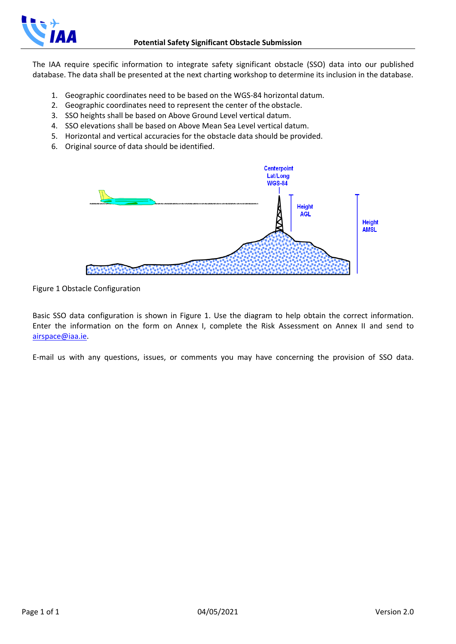

The IAA require specific information to integrate safety significant obstacle (SSO) data into our published database. The data shall be presented at the next charting workshop to determine its inclusion in the database.

- 1. Geographic coordinates need to be based on the WGS-84 horizontal datum.
- 2. Geographic coordinates need to represent the center of the obstacle.
- 3. SSO heights shall be based on Above Ground Level vertical datum.
- 4. SSO elevations shall be based on Above Mean Sea Level vertical datum.
- 5. Horizontal and vertical accuracies for the obstacle data should be provided.
- 6. Original source of data should be identified.



Figure 1 Obstacle Configuration

Basic SSO data configuration is shown in Figure 1. Use the diagram to help obtain the correct information. Enter the information on the form on Annex I, complete the Risk Assessment on Annex II and send to [airspace@iaa.ie.](mailto:airspace@iaa.ie)

E-mail us with any questions, issues, or comments you may have concerning the provision of SSO data.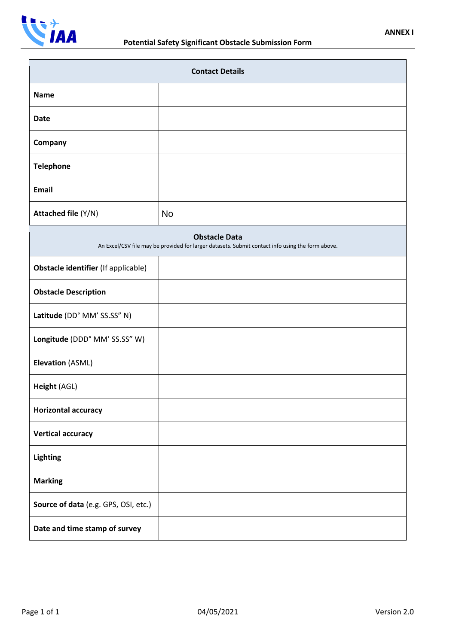

| <b>Contact Details</b>                                                                                                   |    |  |  |  |  |  |  |
|--------------------------------------------------------------------------------------------------------------------------|----|--|--|--|--|--|--|
| <b>Name</b>                                                                                                              |    |  |  |  |  |  |  |
| <b>Date</b>                                                                                                              |    |  |  |  |  |  |  |
| Company                                                                                                                  |    |  |  |  |  |  |  |
| <b>Telephone</b>                                                                                                         |    |  |  |  |  |  |  |
| <b>Email</b>                                                                                                             |    |  |  |  |  |  |  |
| Attached file (Y/N)                                                                                                      | No |  |  |  |  |  |  |
| <b>Obstacle Data</b><br>An Excel/CSV file may be provided for larger datasets. Submit contact info using the form above. |    |  |  |  |  |  |  |
| Obstacle identifier (If applicable)                                                                                      |    |  |  |  |  |  |  |
| <b>Obstacle Description</b>                                                                                              |    |  |  |  |  |  |  |
| Latitude (DD° MM' SS.SS" N)                                                                                              |    |  |  |  |  |  |  |
| Longitude (DDD° MM' SS.SS" W)                                                                                            |    |  |  |  |  |  |  |
| <b>Elevation (ASML)</b>                                                                                                  |    |  |  |  |  |  |  |
| Height (AGL)                                                                                                             |    |  |  |  |  |  |  |
| <b>Horizontal accuracy</b>                                                                                               |    |  |  |  |  |  |  |
| <b>Vertical accuracy</b>                                                                                                 |    |  |  |  |  |  |  |
| Lighting                                                                                                                 |    |  |  |  |  |  |  |
| <b>Marking</b>                                                                                                           |    |  |  |  |  |  |  |
| Source of data (e.g. GPS, OSI, etc.)                                                                                     |    |  |  |  |  |  |  |
| Date and time stamp of survey                                                                                            |    |  |  |  |  |  |  |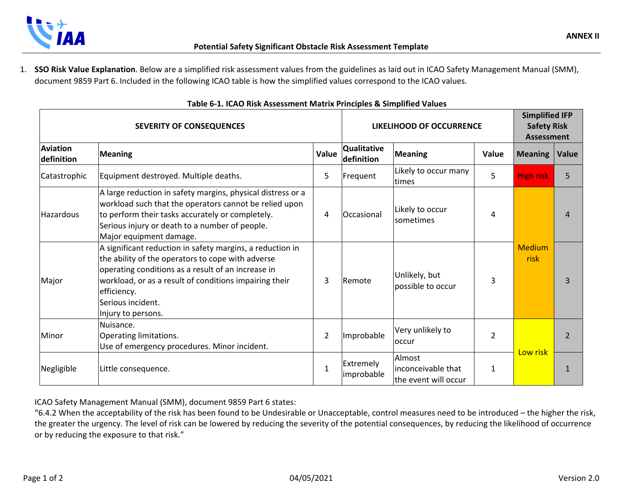

1. **SSO Risk Value Explanation**. Below are a simplified risk assessment values from the guidelines as laid out in ICAO Safety Management Manual (SMM), document 9859 Part 6. Included in the following ICAO table is how the simplified values correspond to the ICAO values.

| <b>SEVERITY OF CONSEQUENCES</b> |                                                                                                                                                                                                                                                                                          |                | LIKELIHOOD OF OCCURRENCE         |                                                       |                | <b>Simplified IFP</b><br><b>Safety Risk</b><br><b>Assessment</b> |              |
|---------------------------------|------------------------------------------------------------------------------------------------------------------------------------------------------------------------------------------------------------------------------------------------------------------------------------------|----------------|----------------------------------|-------------------------------------------------------|----------------|------------------------------------------------------------------|--------------|
| <b>Aviation</b><br>definition   | <b>Meaning</b>                                                                                                                                                                                                                                                                           | Value          | <b>Qualitative</b><br>definition | <b>Meaning</b>                                        | Value          | <b>Meaning</b>                                                   | <b>Value</b> |
| Catastrophic                    | Equipment destroyed. Multiple deaths.                                                                                                                                                                                                                                                    | 5              | Frequent                         | Likely to occur many<br>times                         | 5              | <b>High risk</b>                                                 | 5.           |
| Hazardous                       | A large reduction in safety margins, physical distress or a<br>workload such that the operators cannot be relied upon<br>to perform their tasks accurately or completely.<br>Serious injury or death to a number of people.<br>Major equipment damage.                                   | 4              | Occasional                       | Likely to occur<br><b>Isometimes</b>                  | 4              |                                                                  | Δ            |
| Major                           | A significant reduction in safety margins, a reduction in<br>the ability of the operators to cope with adverse<br>operating conditions as a result of an increase in<br>workload, or as a result of conditions impairing their<br>efficiency.<br>Serious incident.<br>Injury to persons. | 3              | Remote                           | Unlikely, but<br>possible to occur                    | 3              | <b>Medium</b><br>risk                                            | ₹            |
| Minor                           | Nuisance.<br>Operating limitations.<br>Use of emergency procedures. Minor incident.                                                                                                                                                                                                      | $\overline{2}$ | Improbable                       | Very unlikely to<br>occur                             | $\overline{2}$ |                                                                  |              |
| Negligible                      | Little consequence.                                                                                                                                                                                                                                                                      | 1              | Extremely<br>improbable          | Almost<br>linconceivable that<br>the event will occur | 1              | Low risk                                                         |              |

## **Table 6-1. ICAO Risk Assessment Matrix Principles & Simplified Values**

ICAO Safety Management Manual (SMM), document 9859 Part 6 states:

"6.4.2 When the acceptability of the risk has been found to be Undesirable or Unacceptable, control measures need to be introduced – the higher the risk, the greater the urgency. The level of risk can be lowered by reducing the severity of the potential consequences, by reducing the likelihood of occurrence or by reducing the exposure to that risk."